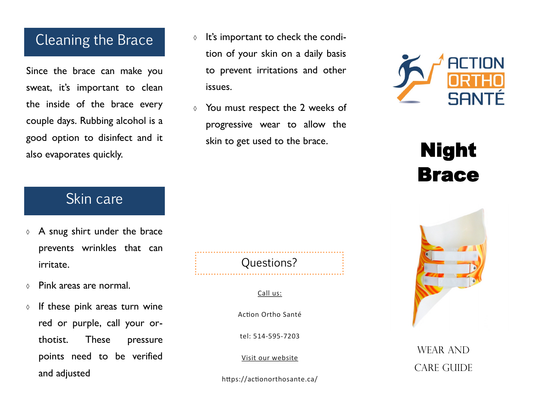#### Cleaning the Brace

Since the brace can make you sweat, it's important to clean the inside of the brace every couple days. Rubbing alcohol is a good option to disinfect and it also evaporates quickly.

- $\circ$  It's important to check the condition of your skin on a daily basis to prevent irritations and other issues.
- You must respect the 2 weeks of progressive wear to allow the skin to get used to the brace.



# Night Brace

#### Skin care

- $\lozenge$  A snug shirt under the brace prevents wrinkles that can irritate.
- Pink areas are normal.
- $\circ$  If these pink areas turn wine red or purple, call your orthotist. These pressure points need to be verified and adjusted

Questions?

#### Call us:

Action Ortho Santé

tel: 514-595-7203

Visit our website

https://actionorthosante.ca/



#### WEAR AND **CARE GUIDE**